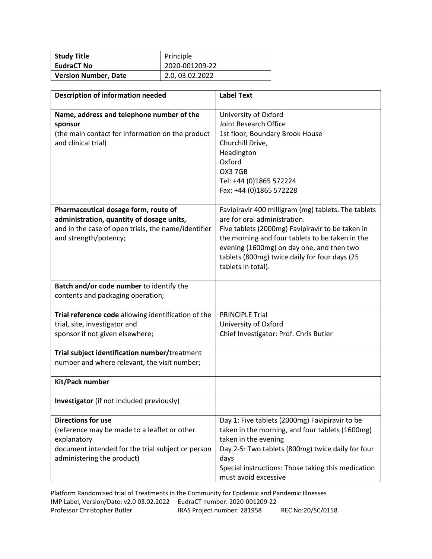| <b>Study Title</b>          | Principle       |
|-----------------------------|-----------------|
| <b>EudraCT No</b>           | 2020-001209-22  |
| <b>Version Number, Date</b> | 2.0, 03.02.2022 |

| <b>Description of information needed</b>                                                                                                                                    | <b>Label Text</b>                                                                                                                                                                                                                                                                                              |
|-----------------------------------------------------------------------------------------------------------------------------------------------------------------------------|----------------------------------------------------------------------------------------------------------------------------------------------------------------------------------------------------------------------------------------------------------------------------------------------------------------|
| Name, address and telephone number of the<br>sponsor<br>(the main contact for information on the product<br>and clinical trial)                                             | University of Oxford<br>Joint Research Office<br>1st floor, Boundary Brook House<br>Churchill Drive,<br>Headington<br>Oxford<br>OX3 7GB<br>Tel: +44 (0)1865 572224<br>Fax: +44 (0)1865 572228                                                                                                                  |
| Pharmaceutical dosage form, route of<br>administration, quantity of dosage units,<br>and in the case of open trials, the name/identifier<br>and strength/potency;           | Favipiravir 400 milligram (mg) tablets. The tablets<br>are for oral administration.<br>Five tablets (2000mg) Favipiravir to be taken in<br>the morning and four tablets to be taken in the<br>evening (1600mg) on day one, and then two<br>tablets (800mg) twice daily for four days (25<br>tablets in total). |
| Batch and/or code number to identify the<br>contents and packaging operation;                                                                                               |                                                                                                                                                                                                                                                                                                                |
| Trial reference code allowing identification of the<br>trial, site, investigator and<br>sponsor if not given elsewhere;                                                     | <b>PRINCIPLE Trial</b><br>University of Oxford<br>Chief Investigator: Prof. Chris Butler                                                                                                                                                                                                                       |
| Trial subject identification number/treatment<br>number and where relevant, the visit number;                                                                               |                                                                                                                                                                                                                                                                                                                |
| Kit/Pack number                                                                                                                                                             |                                                                                                                                                                                                                                                                                                                |
| Investigator (if not included previously)                                                                                                                                   |                                                                                                                                                                                                                                                                                                                |
| <b>Directions for use</b><br>(reference may be made to a leaflet or other<br>explanatory<br>document intended for the trial subject or person<br>administering the product) | Day 1: Five tablets (2000mg) Favipiravir to be<br>taken in the morning, and four tablets (1600mg)<br>taken in the evening<br>Day 2-5: Two tablets (800mg) twice daily for four<br>days<br>Special instructions: Those taking this medication<br>must avoid excessive                                           |

Platform Randomised trial of Treatments in the Community for Epidemic and Pandemic Illnesses IMP Label, Version/Date: v2.0 03.02.2022 EudraCT number: 2020-001209-22 Professor Christopher Butler IRAS Project number: 281958 REC No:20/SC/0158